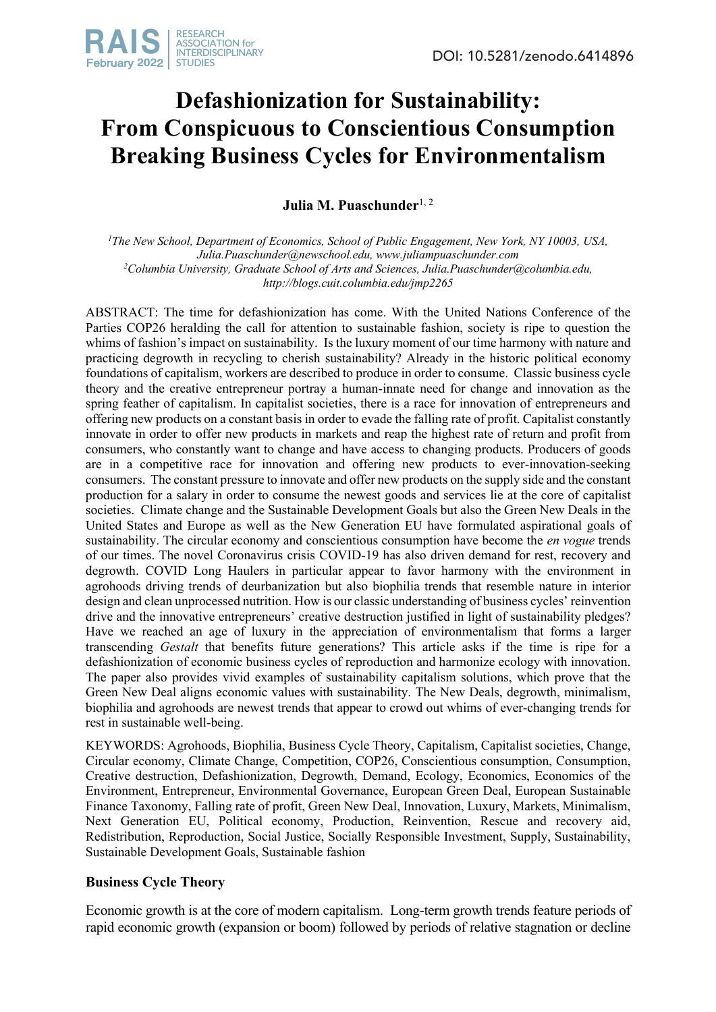# **Defashionization for Sustainability: From Conspicuous to Conscientious Consumption Breaking Business Cycles for Environmentalism**

**Julia M. Puaschunder**<sup>1, 2</sup>

<sup>1</sup>The New School, Department of Economics, School of Public Engagement, New York, NY 10003, USA, *Julia.Puaschunder@newschool.edu, www.juliampuaschunder.com 2 Columbia University, Graduate School of Arts and Sciences, Julia.Puaschunder@columbia.edu, http://blogs.cuit.columbia.edu/jmp2265*

ABSTRACT: The time for defashionization has come. With the United Nations Conference of the Parties COP26 heralding the call for attention to sustainable fashion, society is ripe to question the whims of fashion's impact on sustainability. Is the luxury moment of our time harmony with nature and practicing degrowth in recycling to cherish sustainability? Already in the historic political economy foundations of capitalism, workers are described to produce in order to consume. Classic business cycle theory and the creative entrepreneur portray a human-innate need for change and innovation as the spring feather of capitalism. In capitalist societies, there is a race for innovation of entrepreneurs and offering new products on a constant basis in order to evade the falling rate of profit. Capitalist constantly innovate in order to offer new products in markets and reap the highest rate of return and profit from consumers, who constantly want to change and have access to changing products. Producers of goods are in a competitive race for innovation and offering new products to ever-innovation-seeking consumers. The constant pressure to innovate and offer new products on the supply side and the constant production for a salary in order to consume the newest goods and services lie at the core of capitalist societies. Climate change and the Sustainable Development Goals but also the Green New Deals in the United States and Europe as well as the New Generation EU have formulated aspirational goals of sustainability. The circular economy and conscientious consumption have become the *en vogue* trends of our times. The novel Coronavirus crisis COVID-19 has also driven demand for rest, recovery and degrowth. COVID Long Haulers in particular appear to favor harmony with the environment in agrohoods driving trends of deurbanization but also biophilia trends that resemble nature in interior design and clean unprocessed nutrition. How is our classic understanding of business cycles' reinvention drive and the innovative entrepreneurs' creative destruction justified in light of sustainability pledges? Have we reached an age of luxury in the appreciation of environmentalism that forms a larger transcending *Gestalt* that benefits future generations? This article asks if the time is ripe for a defashionization of economic business cycles of reproduction and harmonize ecology with innovation. The paper also provides vivid examples of sustainability capitalism solutions, which prove that the Green New Deal aligns economic values with sustainability. The New Deals, degrowth, minimalism, biophilia and agrohoods are newest trends that appear to crowd out whims of ever-changing trends for rest in sustainable well-being.

KEYWORDS: Agrohoods, Biophilia, Business Cycle Theory, Capitalism, Capitalist societies, Change, Circular economy, Climate Change, Competition, COP26, Conscientious consumption, Consumption, Creative destruction, Defashionization, Degrowth, Demand, Ecology, Economics, Economics of the Environment, Entrepreneur, Environmental Governance, European Green Deal, European Sustainable Finance Taxonomy, Falling rate of profit, Green New Deal, Innovation, Luxury, Markets, Minimalism, Next Generation EU, Political economy, Production, Reinvention, Rescue and recovery aid, Redistribution, Reproduction, Social Justice, Socially Responsible Investment, Supply, Sustainability, Sustainable Development Goals, Sustainable fashion

## **Business Cycle Theory**

Economic growth is at the core of modern capitalism. Long-term growth trends feature periods of rapid economic growth (expansion or boom) followed by periods of relative stagnation or decline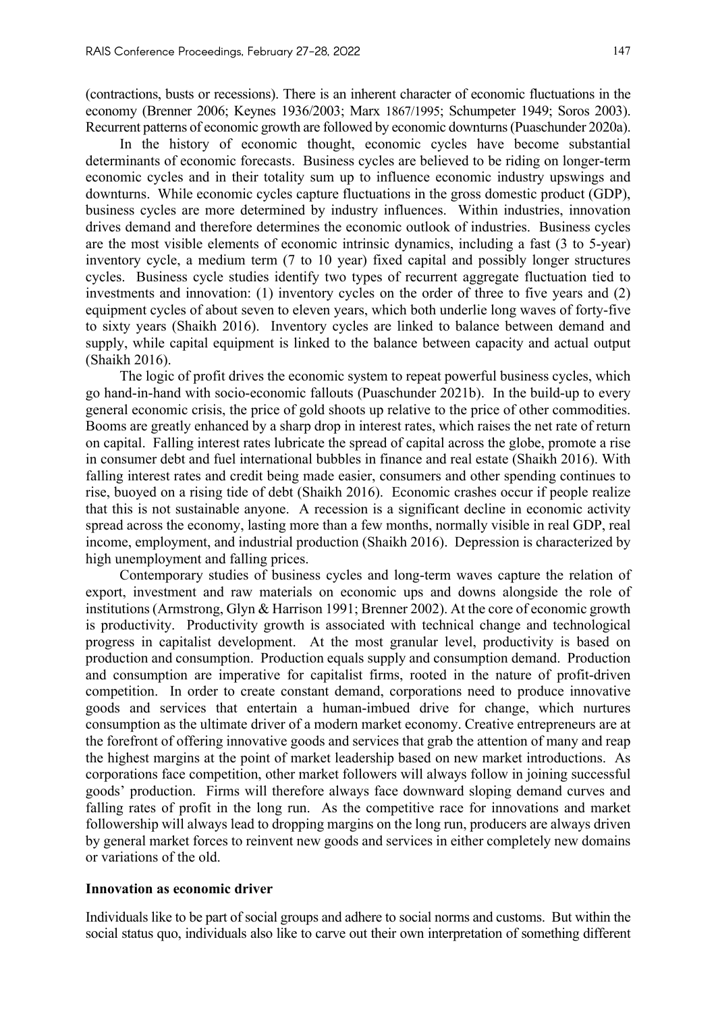(contractions, busts or recessions). There is an inherent character of economic fluctuations in the economy (Brenner 2006; Keynes 1936/2003; Marx 1867/1995; Schumpeter 1949; Soros 2003). Recurrent patterns of economic growth are followed by economic downturns (Puaschunder 2020a).

In the history of economic thought, economic cycles have become substantial determinants of economic forecasts. Business cycles are believed to be riding on longer-term economic cycles and in their totality sum up to influence economic industry upswings and downturns. While economic cycles capture fluctuations in the gross domestic product (GDP), business cycles are more determined by industry influences. Within industries, innovation drives demand and therefore determines the economic outlook of industries. Business cycles are the most visible elements of economic intrinsic dynamics, including a fast (3 to 5-year) inventory cycle, a medium term (7 to 10 year) fixed capital and possibly longer structures cycles. Business cycle studies identify two types of recurrent aggregate fluctuation tied to investments and innovation: (1) inventory cycles on the order of three to five years and (2) equipment cycles of about seven to eleven years, which both underlie long waves of forty-five to sixty years (Shaikh 2016). Inventory cycles are linked to balance between demand and supply, while capital equipment is linked to the balance between capacity and actual output (Shaikh 2016).

The logic of profit drives the economic system to repeat powerful business cycles, which go hand-in-hand with socio-economic fallouts (Puaschunder 2021b). In the build-up to every general economic crisis, the price of gold shoots up relative to the price of other commodities. Booms are greatly enhanced by a sharp drop in interest rates, which raises the net rate of return on capital. Falling interest rates lubricate the spread of capital across the globe, promote a rise in consumer debt and fuel international bubbles in finance and real estate (Shaikh 2016). With falling interest rates and credit being made easier, consumers and other spending continues to rise, buoyed on a rising tide of debt (Shaikh 2016). Economic crashes occur if people realize that this is not sustainable anyone. A recession is a significant decline in economic activity spread across the economy, lasting more than a few months, normally visible in real GDP, real income, employment, and industrial production (Shaikh 2016). Depression is characterized by high unemployment and falling prices.

Contemporary studies of business cycles and long-term waves capture the relation of export, investment and raw materials on economic ups and downs alongside the role of institutions (Armstrong, Glyn & Harrison 1991; Brenner 2002). At the core of economic growth is productivity. Productivity growth is associated with technical change and technological progress in capitalist development. At the most granular level, productivity is based on production and consumption. Production equals supply and consumption demand. Production and consumption are imperative for capitalist firms, rooted in the nature of profit-driven competition. In order to create constant demand, corporations need to produce innovative goods and services that entertain a human-imbued drive for change, which nurtures consumption as the ultimate driver of a modern market economy. Creative entrepreneurs are at the forefront of offering innovative goods and services that grab the attention of many and reap the highest margins at the point of market leadership based on new market introductions. As corporations face competition, other market followers will always follow in joining successful goods' production. Firms will therefore always face downward sloping demand curves and falling rates of profit in the long run. As the competitive race for innovations and market followership will always lead to dropping margins on the long run, producers are always driven by general market forces to reinvent new goods and services in either completely new domains or variations of the old.

### **Innovation as economic driver**

Individuals like to be part of social groups and adhere to social norms and customs. But within the social status quo, individuals also like to carve out their own interpretation of something different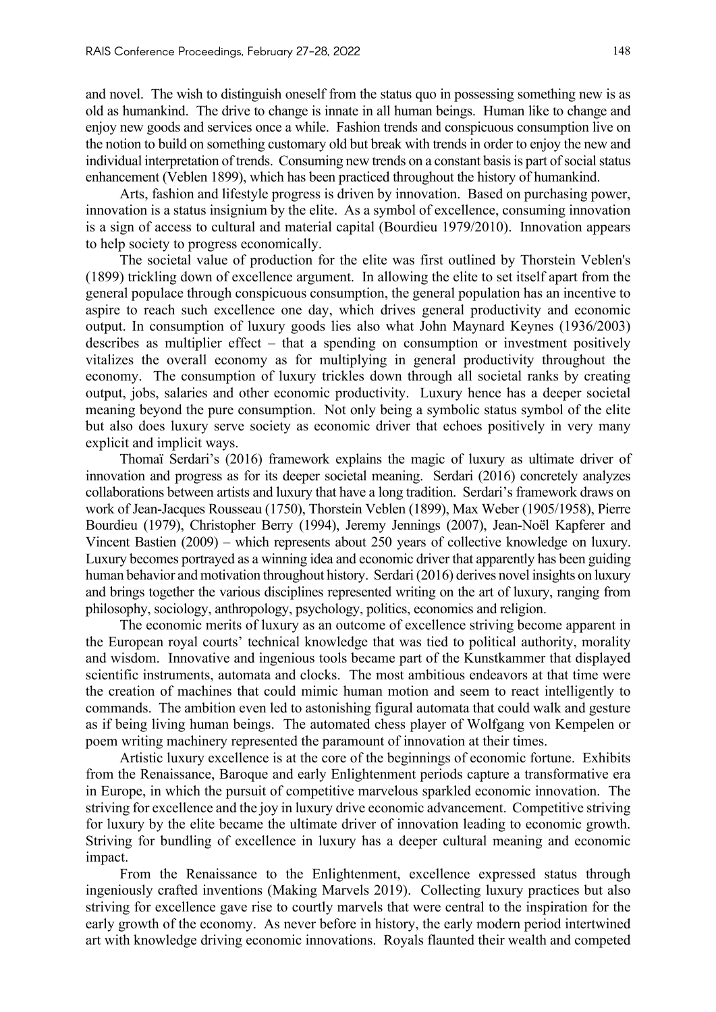and novel. The wish to distinguish oneself from the status quo in possessing something new is as old as humankind. The drive to change is innate in all human beings. Human like to change and enjoy new goods and services once a while. Fashion trends and conspicuous consumption live on the notion to build on something customary old but break with trends in order to enjoy the new and individual interpretation of trends. Consuming new trends on a constant basis is part of social status enhancement (Veblen 1899), which has been practiced throughout the history of humankind.

Arts, fashion and lifestyle progress is driven by innovation. Based on purchasing power, innovation is a status insignium by the elite. As a symbol of excellence, consuming innovation is a sign of access to cultural and material capital (Bourdieu 1979/2010). Innovation appears to help society to progress economically.

The societal value of production for the elite was first outlined by Thorstein Veblen's (1899) trickling down of excellence argument. In allowing the elite to set itself apart from the general populace through conspicuous consumption, the general population has an incentive to aspire to reach such excellence one day, which drives general productivity and economic output. In consumption of luxury goods lies also what John Maynard Keynes (1936/2003) describes as multiplier effect – that a spending on consumption or investment positively vitalizes the overall economy as for multiplying in general productivity throughout the economy. The consumption of luxury trickles down through all societal ranks by creating output, jobs, salaries and other economic productivity. Luxury hence has a deeper societal meaning beyond the pure consumption. Not only being a symbolic status symbol of the elite but also does luxury serve society as economic driver that echoes positively in very many explicit and implicit ways.

Thomaï Serdari's (2016) framework explains the magic of luxury as ultimate driver of innovation and progress as for its deeper societal meaning. Serdari (2016) concretely analyzes collaborations between artists and luxury that have a long tradition. Serdari's framework draws on work of Jean-Jacques Rousseau (1750), Thorstein Veblen (1899), Max Weber (1905/1958), Pierre Bourdieu (1979), Christopher Berry (1994), Jeremy Jennings (2007), Jean-Noël Kapferer and Vincent Bastien (2009) – which represents about 250 years of collective knowledge on luxury. Luxury becomes portrayed as a winning idea and economic driver that apparently has been guiding human behavior and motivation throughout history. Serdari (2016) derives novel insights on luxury and brings together the various disciplines represented writing on the art of luxury, ranging from philosophy, sociology, anthropology, psychology, politics, economics and religion.

The economic merits of luxury as an outcome of excellence striving become apparent in the European royal courts' technical knowledge that was tied to political authority, morality and wisdom. Innovative and ingenious tools became part of the Kunstkammer that displayed scientific instruments, automata and clocks. The most ambitious endeavors at that time were the creation of machines that could mimic human motion and seem to react intelligently to commands. The ambition even led to astonishing figural automata that could walk and gesture as if being living human beings. The automated chess player of Wolfgang von Kempelen or poem writing machinery represented the paramount of innovation at their times.

Artistic luxury excellence is at the core of the beginnings of economic fortune. Exhibits from the Renaissance, Baroque and early Enlightenment periods capture a transformative era in Europe, in which the pursuit of competitive marvelous sparkled economic innovation. The striving for excellence and the joy in luxury drive economic advancement. Competitive striving for luxury by the elite became the ultimate driver of innovation leading to economic growth. Striving for bundling of excellence in luxury has a deeper cultural meaning and economic impact.

From the Renaissance to the Enlightenment, excellence expressed status through ingeniously crafted inventions (Making Marvels 2019). Collecting luxury practices but also striving for excellence gave rise to courtly marvels that were central to the inspiration for the early growth of the economy. As never before in history, the early modern period intertwined art with knowledge driving economic innovations. Royals flaunted their wealth and competed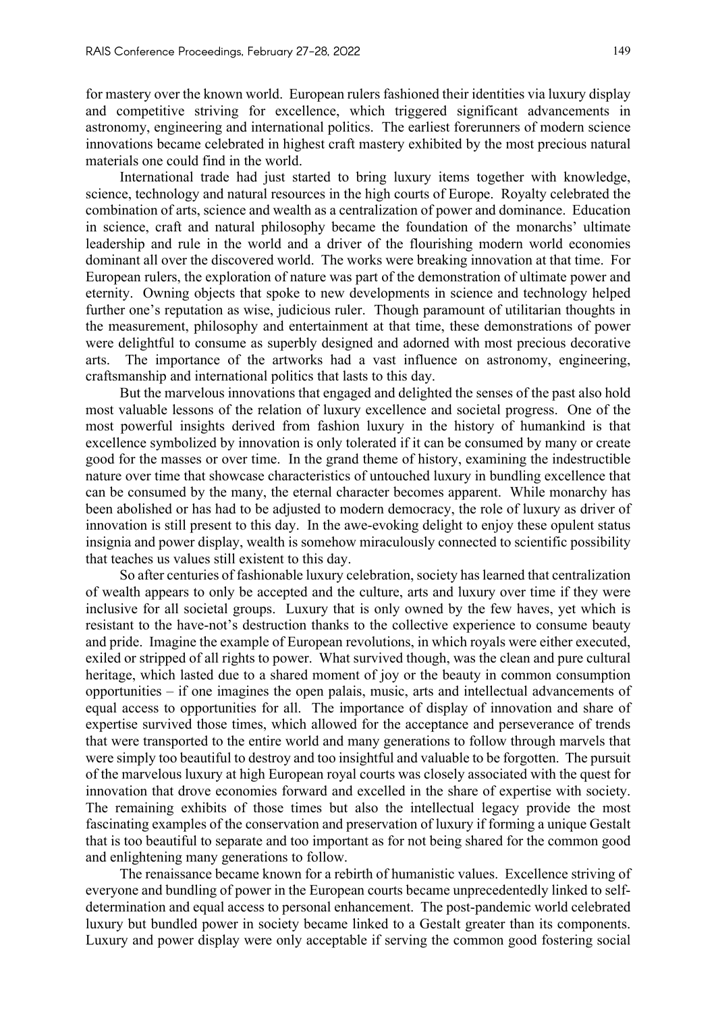for mastery over the known world. European rulers fashioned their identities via luxury display and competitive striving for excellence, which triggered significant advancements in astronomy, engineering and international politics. The earliest forerunners of modern science innovations became celebrated in highest craft mastery exhibited by the most precious natural materials one could find in the world.

International trade had just started to bring luxury items together with knowledge, science, technology and natural resources in the high courts of Europe. Royalty celebrated the combination of arts, science and wealth as a centralization of power and dominance. Education in science, craft and natural philosophy became the foundation of the monarchs' ultimate leadership and rule in the world and a driver of the flourishing modern world economies dominant all over the discovered world. The works were breaking innovation at that time. For European rulers, the exploration of nature was part of the demonstration of ultimate power and eternity. Owning objects that spoke to new developments in science and technology helped further one's reputation as wise, judicious ruler. Though paramount of utilitarian thoughts in the measurement, philosophy and entertainment at that time, these demonstrations of power were delightful to consume as superbly designed and adorned with most precious decorative arts. The importance of the artworks had a vast influence on astronomy, engineering, craftsmanship and international politics that lasts to this day.

But the marvelous innovations that engaged and delighted the senses of the past also hold most valuable lessons of the relation of luxury excellence and societal progress. One of the most powerful insights derived from fashion luxury in the history of humankind is that excellence symbolized by innovation is only tolerated if it can be consumed by many or create good for the masses or over time. In the grand theme of history, examining the indestructible nature over time that showcase characteristics of untouched luxury in bundling excellence that can be consumed by the many, the eternal character becomes apparent. While monarchy has been abolished or has had to be adjusted to modern democracy, the role of luxury as driver of innovation is still present to this day. In the awe-evoking delight to enjoy these opulent status insignia and power display, wealth is somehow miraculously connected to scientific possibility that teaches us values still existent to this day.

So after centuries of fashionable luxury celebration, society has learned that centralization of wealth appears to only be accepted and the culture, arts and luxury over time if they were inclusive for all societal groups. Luxury that is only owned by the few haves, yet which is resistant to the have-not's destruction thanks to the collective experience to consume beauty and pride. Imagine the example of European revolutions, in which royals were either executed, exiled or stripped of all rights to power. What survived though, was the clean and pure cultural heritage, which lasted due to a shared moment of joy or the beauty in common consumption opportunities – if one imagines the open palais, music, arts and intellectual advancements of equal access to opportunities for all. The importance of display of innovation and share of expertise survived those times, which allowed for the acceptance and perseverance of trends that were transported to the entire world and many generations to follow through marvels that were simply too beautiful to destroy and too insightful and valuable to be forgotten. The pursuit of the marvelous luxury at high European royal courts was closely associated with the quest for innovation that drove economies forward and excelled in the share of expertise with society. The remaining exhibits of those times but also the intellectual legacy provide the most fascinating examples of the conservation and preservation of luxury if forming a unique Gestalt that is too beautiful to separate and too important as for not being shared for the common good and enlightening many generations to follow.

The renaissance became known for a rebirth of humanistic values. Excellence striving of everyone and bundling of power in the European courts became unprecedentedly linked to selfdetermination and equal access to personal enhancement. The post-pandemic world celebrated luxury but bundled power in society became linked to a Gestalt greater than its components. Luxury and power display were only acceptable if serving the common good fostering social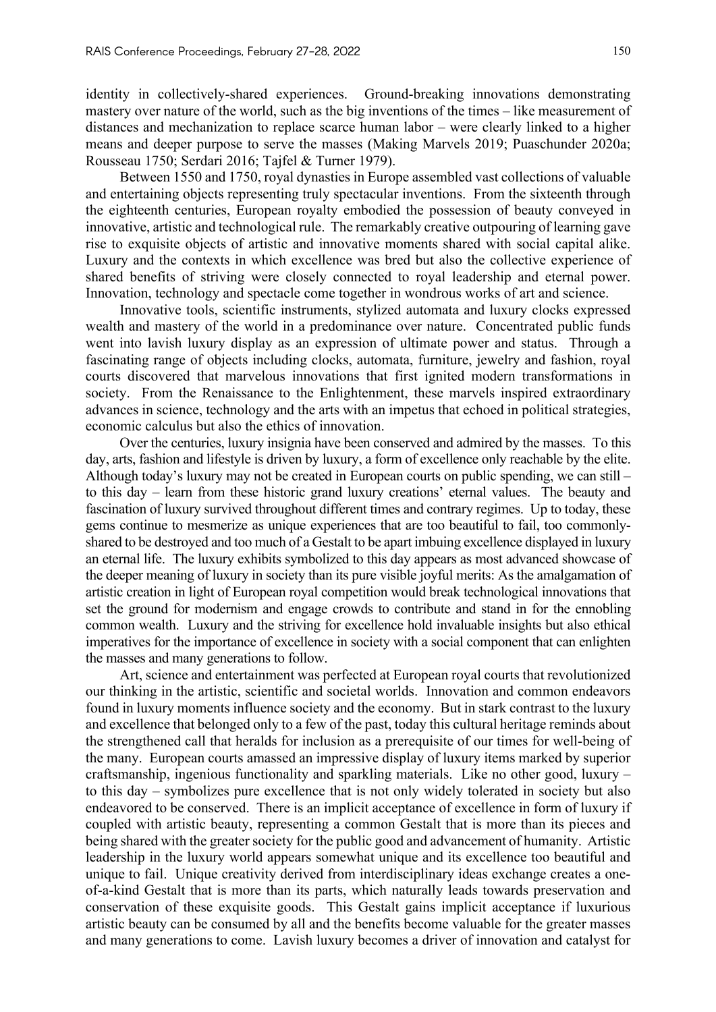identity in collectively-shared experiences. Ground-breaking innovations demonstrating mastery over nature of the world, such as the big inventions of the times – like measurement of distances and mechanization to replace scarce human labor – were clearly linked to a higher means and deeper purpose to serve the masses (Making Marvels 2019; Puaschunder 2020a; Rousseau 1750; Serdari 2016; Tajfel & Turner 1979).

Between 1550 and 1750, royal dynasties in Europe assembled vast collections of valuable and entertaining objects representing truly spectacular inventions. From the sixteenth through the eighteenth centuries, European royalty embodied the possession of beauty conveyed in innovative, artistic and technological rule. The remarkably creative outpouring of learning gave rise to exquisite objects of artistic and innovative moments shared with social capital alike. Luxury and the contexts in which excellence was bred but also the collective experience of shared benefits of striving were closely connected to royal leadership and eternal power. Innovation, technology and spectacle come together in wondrous works of art and science.

Innovative tools, scientific instruments, stylized automata and luxury clocks expressed wealth and mastery of the world in a predominance over nature. Concentrated public funds went into lavish luxury display as an expression of ultimate power and status. Through a fascinating range of objects including clocks, automata, furniture, jewelry and fashion, royal courts discovered that marvelous innovations that first ignited modern transformations in society. From the Renaissance to the Enlightenment, these marvels inspired extraordinary advances in science, technology and the arts with an impetus that echoed in political strategies, economic calculus but also the ethics of innovation.

Over the centuries, luxury insignia have been conserved and admired by the masses. To this day, arts, fashion and lifestyle is driven by luxury, a form of excellence only reachable by the elite. Although today's luxury may not be created in European courts on public spending, we can still – to this day – learn from these historic grand luxury creations' eternal values. The beauty and fascination of luxury survived throughout different times and contrary regimes. Up to today, these gems continue to mesmerize as unique experiences that are too beautiful to fail, too commonlyshared to be destroyed and too much of a Gestalt to be apart imbuing excellence displayed in luxury an eternal life. The luxury exhibits symbolized to this day appears as most advanced showcase of the deeper meaning of luxury in society than its pure visible joyful merits: As the amalgamation of artistic creation in light of European royal competition would break technological innovations that set the ground for modernism and engage crowds to contribute and stand in for the ennobling common wealth. Luxury and the striving for excellence hold invaluable insights but also ethical imperatives for the importance of excellence in society with a social component that can enlighten the masses and many generations to follow.

Art, science and entertainment was perfected at European royal courts that revolutionized our thinking in the artistic, scientific and societal worlds. Innovation and common endeavors found in luxury moments influence society and the economy. But in stark contrast to the luxury and excellence that belonged only to a few of the past, today this cultural heritage reminds about the strengthened call that heralds for inclusion as a prerequisite of our times for well-being of the many. European courts amassed an impressive display of luxury items marked by superior craftsmanship, ingenious functionality and sparkling materials. Like no other good, luxury – to this day – symbolizes pure excellence that is not only widely tolerated in society but also endeavored to be conserved. There is an implicit acceptance of excellence in form of luxury if coupled with artistic beauty, representing a common Gestalt that is more than its pieces and being shared with the greater society for the public good and advancement of humanity. Artistic leadership in the luxury world appears somewhat unique and its excellence too beautiful and unique to fail. Unique creativity derived from interdisciplinary ideas exchange creates a oneof-a-kind Gestalt that is more than its parts, which naturally leads towards preservation and conservation of these exquisite goods. This Gestalt gains implicit acceptance if luxurious artistic beauty can be consumed by all and the benefits become valuable for the greater masses and many generations to come. Lavish luxury becomes a driver of innovation and catalyst for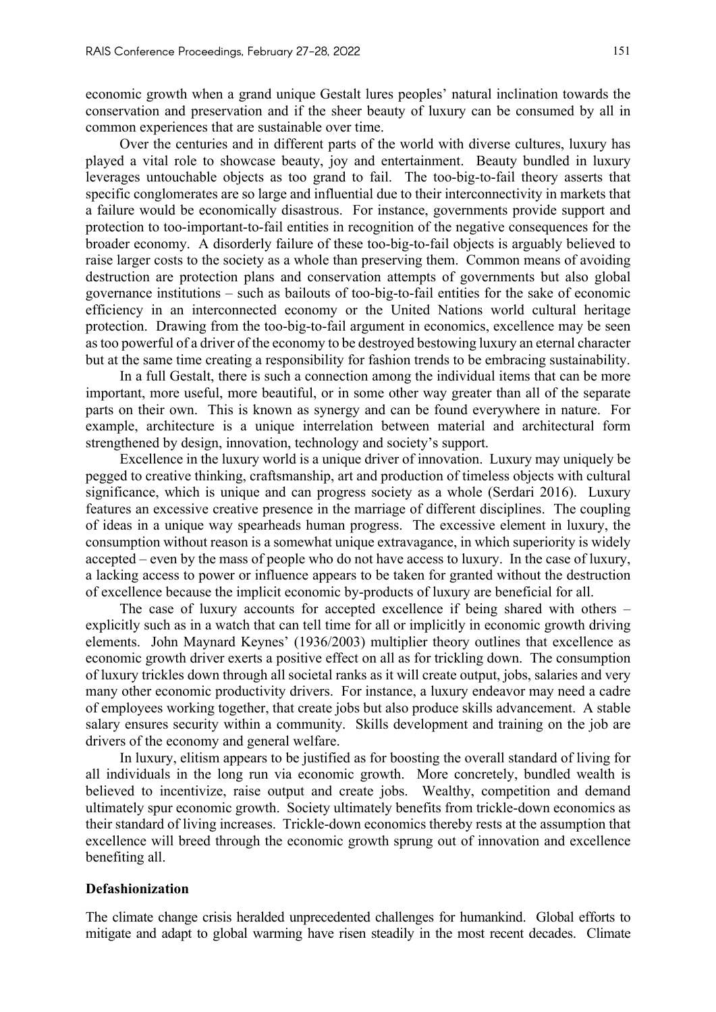economic growth when a grand unique Gestalt lures peoples' natural inclination towards the conservation and preservation and if the sheer beauty of luxury can be consumed by all in common experiences that are sustainable over time.

Over the centuries and in different parts of the world with diverse cultures, luxury has played a vital role to showcase beauty, joy and entertainment. Beauty bundled in luxury leverages untouchable objects as too grand to fail. The too-big-to-fail theory asserts that specific conglomerates are so large and influential due to their interconnectivity in markets that a failure would be economically disastrous. For instance, governments provide support and protection to too-important-to-fail entities in recognition of the negative consequences for the broader economy. A disorderly failure of these too-big-to-fail objects is arguably believed to raise larger costs to the society as a whole than preserving them. Common means of avoiding destruction are protection plans and conservation attempts of governments but also global governance institutions – such as bailouts of too-big-to-fail entities for the sake of economic efficiency in an interconnected economy or the United Nations world cultural heritage protection. Drawing from the too-big-to-fail argument in economics, excellence may be seen as too powerful of a driver of the economy to be destroyed bestowing luxury an eternal character but at the same time creating a responsibility for fashion trends to be embracing sustainability.

In a full Gestalt, there is such a connection among the individual items that can be more important, more useful, more beautiful, or in some other way greater than all of the separate parts on their own. This is known as synergy and can be found everywhere in nature. For example, architecture is a unique interrelation between material and architectural form strengthened by design, innovation, technology and society's support.

Excellence in the luxury world is a unique driver of innovation. Luxury may uniquely be pegged to creative thinking, craftsmanship, art and production of timeless objects with cultural significance, which is unique and can progress society as a whole (Serdari 2016). Luxury features an excessive creative presence in the marriage of different disciplines. The coupling of ideas in a unique way spearheads human progress. The excessive element in luxury, the consumption without reason is a somewhat unique extravagance, in which superiority is widely accepted – even by the mass of people who do not have access to luxury. In the case of luxury, a lacking access to power or influence appears to be taken for granted without the destruction of excellence because the implicit economic by-products of luxury are beneficial for all.

The case of luxury accounts for accepted excellence if being shared with others – explicitly such as in a watch that can tell time for all or implicitly in economic growth driving elements. John Maynard Keynes' (1936/2003) multiplier theory outlines that excellence as economic growth driver exerts a positive effect on all as for trickling down. The consumption of luxury trickles down through all societal ranks as it will create output, jobs, salaries and very many other economic productivity drivers. For instance, a luxury endeavor may need a cadre of employees working together, that create jobs but also produce skills advancement. A stable salary ensures security within a community. Skills development and training on the job are drivers of the economy and general welfare.

In luxury, elitism appears to be justified as for boosting the overall standard of living for all individuals in the long run via economic growth. More concretely, bundled wealth is believed to incentivize, raise output and create jobs. Wealthy, competition and demand ultimately spur economic growth. Society ultimately benefits from trickle-down economics as their standard of living increases. Trickle-down economics thereby rests at the assumption that excellence will breed through the economic growth sprung out of innovation and excellence benefiting all.

### **Defashionization**

The climate change crisis heralded unprecedented challenges for humankind. Global efforts to mitigate and adapt to global warming have risen steadily in the most recent decades. Climate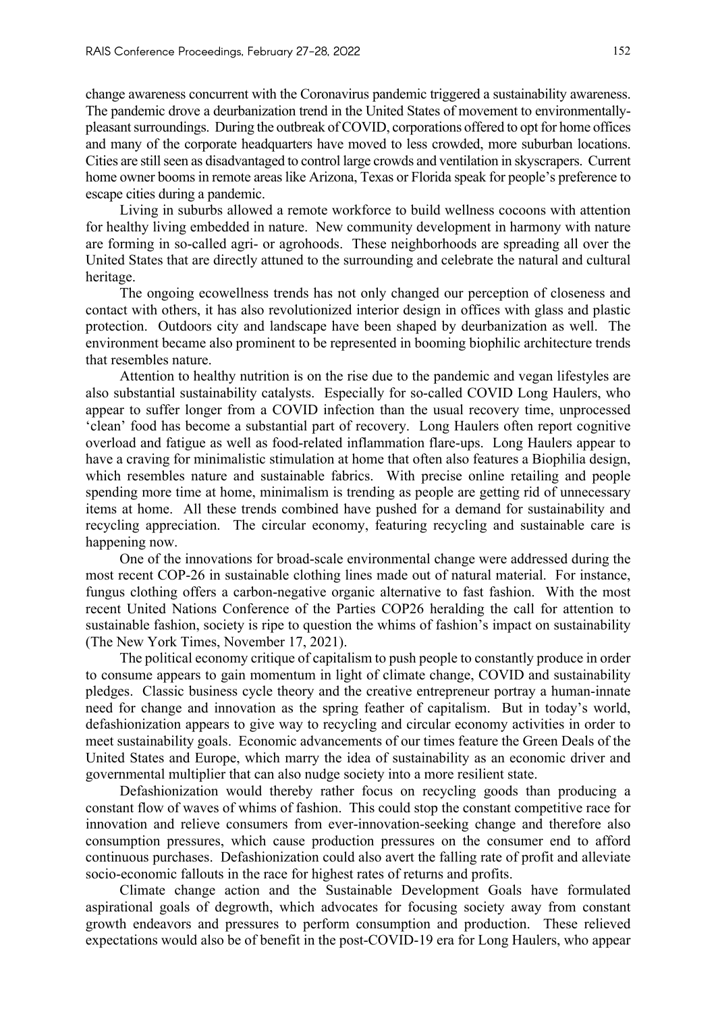change awareness concurrent with the Coronavirus pandemic triggered a sustainability awareness. The pandemic drove a deurbanization trend in the United States of movement to environmentallypleasant surroundings. During the outbreak of COVID, corporations offered to opt for home offices and many of the corporate headquarters have moved to less crowded, more suburban locations. Cities are still seen as disadvantaged to control large crowds and ventilation in skyscrapers. Current home owner booms in remote areas like Arizona, Texas or Florida speak for people's preference to escape cities during a pandemic.

Living in suburbs allowed a remote workforce to build wellness cocoons with attention for healthy living embedded in nature. New community development in harmony with nature are forming in so-called agri- or agrohoods. These neighborhoods are spreading all over the United States that are directly attuned to the surrounding and celebrate the natural and cultural heritage.

The ongoing ecowellness trends has not only changed our perception of closeness and contact with others, it has also revolutionized interior design in offices with glass and plastic protection. Outdoors city and landscape have been shaped by deurbanization as well. The environment became also prominent to be represented in booming biophilic architecture trends that resembles nature.

Attention to healthy nutrition is on the rise due to the pandemic and vegan lifestyles are also substantial sustainability catalysts. Especially for so-called COVID Long Haulers, who appear to suffer longer from a COVID infection than the usual recovery time, unprocessed 'clean' food has become a substantial part of recovery. Long Haulers often report cognitive overload and fatigue as well as food-related inflammation flare-ups. Long Haulers appear to have a craving for minimalistic stimulation at home that often also features a Biophilia design, which resembles nature and sustainable fabrics. With precise online retailing and people spending more time at home, minimalism is trending as people are getting rid of unnecessary items at home. All these trends combined have pushed for a demand for sustainability and recycling appreciation. The circular economy, featuring recycling and sustainable care is happening now.

One of the innovations for broad-scale environmental change were addressed during the most recent COP-26 in sustainable clothing lines made out of natural material. For instance, fungus clothing offers a carbon-negative organic alternative to fast fashion. With the most recent United Nations Conference of the Parties COP26 heralding the call for attention to sustainable fashion, society is ripe to question the whims of fashion's impact on sustainability (The New York Times, November 17, 2021).

The political economy critique of capitalism to push people to constantly produce in order to consume appears to gain momentum in light of climate change, COVID and sustainability pledges. Classic business cycle theory and the creative entrepreneur portray a human-innate need for change and innovation as the spring feather of capitalism. But in today's world, defashionization appears to give way to recycling and circular economy activities in order to meet sustainability goals. Economic advancements of our times feature the Green Deals of the United States and Europe, which marry the idea of sustainability as an economic driver and governmental multiplier that can also nudge society into a more resilient state.

Defashionization would thereby rather focus on recycling goods than producing a constant flow of waves of whims of fashion. This could stop the constant competitive race for innovation and relieve consumers from ever-innovation-seeking change and therefore also consumption pressures, which cause production pressures on the consumer end to afford continuous purchases. Defashionization could also avert the falling rate of profit and alleviate socio-economic fallouts in the race for highest rates of returns and profits.

Climate change action and the Sustainable Development Goals have formulated aspirational goals of degrowth, which advocates for focusing society away from constant growth endeavors and pressures to perform consumption and production. These relieved expectations would also be of benefit in the post-COVID-19 era for Long Haulers, who appear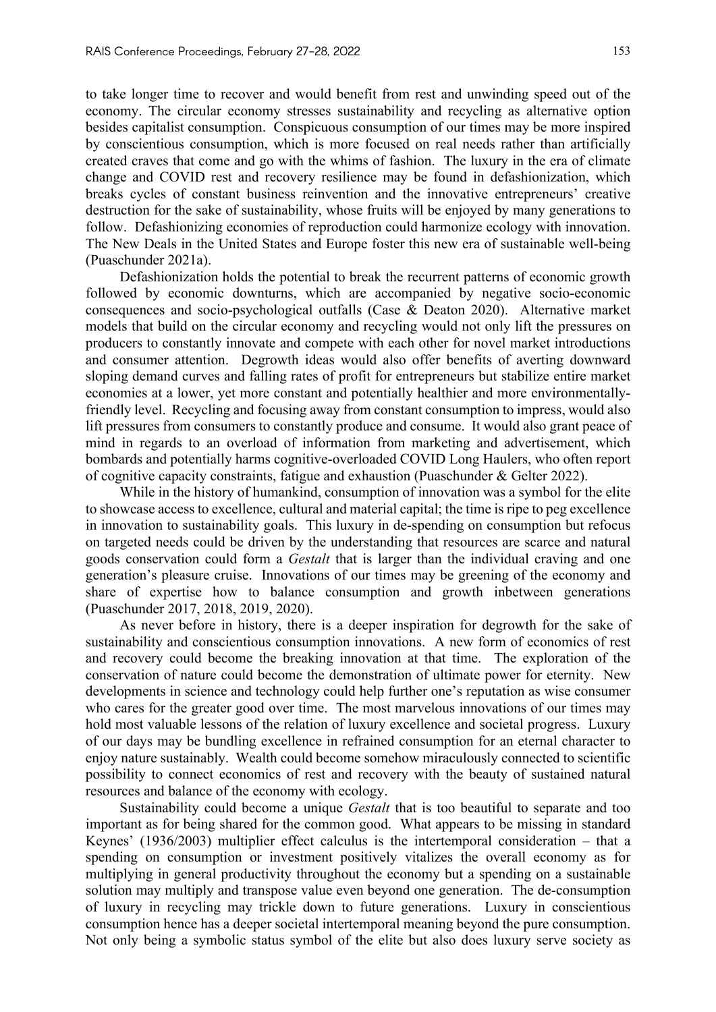to take longer time to recover and would benefit from rest and unwinding speed out of the economy. The circular economy stresses sustainability and recycling as alternative option besides capitalist consumption. Conspicuous consumption of our times may be more inspired by conscientious consumption, which is more focused on real needs rather than artificially created craves that come and go with the whims of fashion. The luxury in the era of climate change and COVID rest and recovery resilience may be found in defashionization, which breaks cycles of constant business reinvention and the innovative entrepreneurs' creative destruction for the sake of sustainability, whose fruits will be enjoyed by many generations to follow. Defashionizing economies of reproduction could harmonize ecology with innovation. The New Deals in the United States and Europe foster this new era of sustainable well-being (Puaschunder 2021a).

Defashionization holds the potential to break the recurrent patterns of economic growth followed by economic downturns, which are accompanied by negative socio-economic consequences and socio-psychological outfalls (Case & Deaton 2020). Alternative market models that build on the circular economy and recycling would not only lift the pressures on producers to constantly innovate and compete with each other for novel market introductions and consumer attention. Degrowth ideas would also offer benefits of averting downward sloping demand curves and falling rates of profit for entrepreneurs but stabilize entire market economies at a lower, yet more constant and potentially healthier and more environmentallyfriendly level. Recycling and focusing away from constant consumption to impress, would also lift pressures from consumers to constantly produce and consume. It would also grant peace of mind in regards to an overload of information from marketing and advertisement, which bombards and potentially harms cognitive-overloaded COVID Long Haulers, who often report of cognitive capacity constraints, fatigue and exhaustion (Puaschunder & Gelter 2022).

While in the history of humankind, consumption of innovation was a symbol for the elite to showcase access to excellence, cultural and material capital; the time is ripe to peg excellence in innovation to sustainability goals. This luxury in de-spending on consumption but refocus on targeted needs could be driven by the understanding that resources are scarce and natural goods conservation could form a *Gestalt* that is larger than the individual craving and one generation's pleasure cruise. Innovations of our times may be greening of the economy and share of expertise how to balance consumption and growth inbetween generations (Puaschunder 2017, 2018, 2019, 2020).

As never before in history, there is a deeper inspiration for degrowth for the sake of sustainability and conscientious consumption innovations. A new form of economics of rest and recovery could become the breaking innovation at that time. The exploration of the conservation of nature could become the demonstration of ultimate power for eternity. New developments in science and technology could help further one's reputation as wise consumer who cares for the greater good over time. The most marvelous innovations of our times may hold most valuable lessons of the relation of luxury excellence and societal progress. Luxury of our days may be bundling excellence in refrained consumption for an eternal character to enjoy nature sustainably. Wealth could become somehow miraculously connected to scientific possibility to connect economics of rest and recovery with the beauty of sustained natural resources and balance of the economy with ecology.

Sustainability could become a unique *Gestalt* that is too beautiful to separate and too important as for being shared for the common good. What appears to be missing in standard Keynes' (1936/2003) multiplier effect calculus is the intertemporal consideration – that a spending on consumption or investment positively vitalizes the overall economy as for multiplying in general productivity throughout the economy but a spending on a sustainable solution may multiply and transpose value even beyond one generation. The de-consumption of luxury in recycling may trickle down to future generations. Luxury in conscientious consumption hence has a deeper societal intertemporal meaning beyond the pure consumption. Not only being a symbolic status symbol of the elite but also does luxury serve society as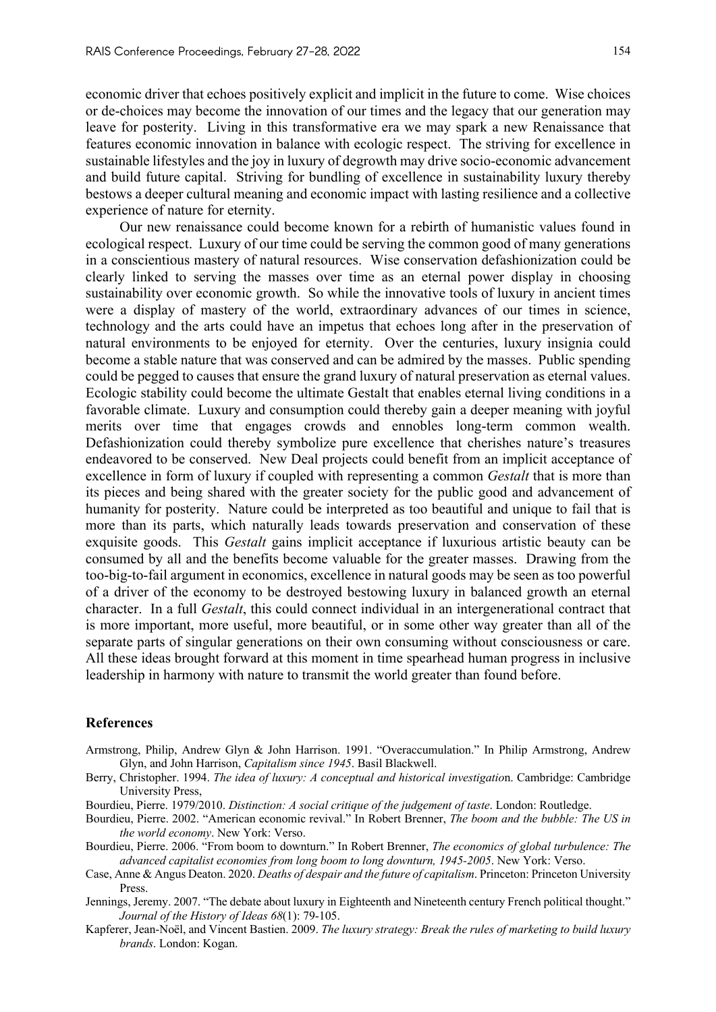economic driver that echoes positively explicit and implicit in the future to come. Wise choices or de-choices may become the innovation of our times and the legacy that our generation may leave for posterity. Living in this transformative era we may spark a new Renaissance that features economic innovation in balance with ecologic respect. The striving for excellence in sustainable lifestyles and the joy in luxury of degrowth may drive socio-economic advancement and build future capital. Striving for bundling of excellence in sustainability luxury thereby bestows a deeper cultural meaning and economic impact with lasting resilience and a collective experience of nature for eternity.

Our new renaissance could become known for a rebirth of humanistic values found in ecological respect. Luxury of our time could be serving the common good of many generations in a conscientious mastery of natural resources. Wise conservation defashionization could be clearly linked to serving the masses over time as an eternal power display in choosing sustainability over economic growth. So while the innovative tools of luxury in ancient times were a display of mastery of the world, extraordinary advances of our times in science, technology and the arts could have an impetus that echoes long after in the preservation of natural environments to be enjoyed for eternity. Over the centuries, luxury insignia could become a stable nature that was conserved and can be admired by the masses. Public spending could be pegged to causes that ensure the grand luxury of natural preservation as eternal values. Ecologic stability could become the ultimate Gestalt that enables eternal living conditions in a favorable climate. Luxury and consumption could thereby gain a deeper meaning with joyful merits over time that engages crowds and ennobles long-term common wealth. Defashionization could thereby symbolize pure excellence that cherishes nature's treasures endeavored to be conserved. New Deal projects could benefit from an implicit acceptance of excellence in form of luxury if coupled with representing a common *Gestalt* that is more than its pieces and being shared with the greater society for the public good and advancement of humanity for posterity. Nature could be interpreted as too beautiful and unique to fail that is more than its parts, which naturally leads towards preservation and conservation of these exquisite goods. This *Gestalt* gains implicit acceptance if luxurious artistic beauty can be consumed by all and the benefits become valuable for the greater masses. Drawing from the too-big-to-fail argument in economics, excellence in natural goods may be seen as too powerful of a driver of the economy to be destroyed bestowing luxury in balanced growth an eternal character. In a full *Gestalt*, this could connect individual in an intergenerational contract that is more important, more useful, more beautiful, or in some other way greater than all of the separate parts of singular generations on their own consuming without consciousness or care. All these ideas brought forward at this moment in time spearhead human progress in inclusive leadership in harmony with nature to transmit the world greater than found before.

#### **References**

- Armstrong, Philip, Andrew Glyn & John Harrison. 1991. "Overaccumulation." In Philip Armstrong, Andrew Glyn, and John Harrison, *Capitalism since 1945*. Basil Blackwell.
- Berry, Christopher. 1994. *The idea of luxury: A conceptual and historical investigatio*n. Cambridge: Cambridge University Press,
- Bourdieu, Pierre. 1979/2010. *Distinction: A social critique of the judgement of taste*. London: Routledge.
- Bourdieu, Pierre. 2002. "American economic revival." In Robert Brenner, *The boom and the bubble: The US in the world economy*. New York: Verso.
- Bourdieu, Pierre. 2006. "From boom to downturn." In Robert Brenner, *The economics of global turbulence: The advanced capitalist economies from long boom to long downturn, 1945-2005*. New York: Verso.
- Case, Anne & Angus Deaton. 2020. *Deaths of despair and the future of capitalism*. Princeton: Princeton University Press.
- Jennings, Jeremy. 2007. "The debate about luxury in Eighteenth and Nineteenth century French political thought." *Journal of the History of Ideas 68*(1): 79-105.
- Kapferer, Jean-Noël, and Vincent Bastien. 2009. *The luxury strategy: Break the rules of marketing to build luxury brands*. London: Kogan.